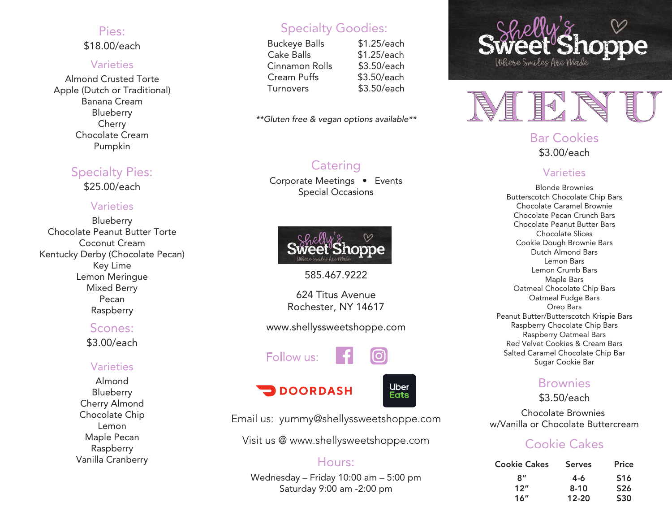## Pies:

\$18.00/each

#### **Varieties**

Almond Crusted Torte Apple (Dutch or Traditional) Banana Cream **Blueberry** Cherry Chocolate Cream Pumpkin

## Specialty Pies:

\$25.00/each

## **Varieties**

**Blueberry** Chocolate Peanut Butter Torte Coconut Cream Kentucky Derby (Chocolate Pecan) Key Lime Lemon Meringue Mixed Berry Pecan Raspberry

## Scones:

\$3.00/each

## **Varieties**

Almond Blueberry Cherry Almond Chocolate Chip Lemon Maple Pecan Raspberry Vanilla Cranberry

## Specialty Goodies:

Buckeye Balls \$1.25/each Cake Balls \$1.25/each Cinnamon Rolls \$3.50/each Cream Puffs \$3.50/each Turnovers \$3.50/each

*\*\*Gluten free & vegan options available\*\**

## **Catering**

Corporate Meetings • Events Special Occasions



585.467.9222

624 Titus Avenue Rochester, NY 14617

www.shellyssweetshoppe.com

# Follow us:



**DOORDASH** 



Email us: yummy@shellyssweetshoppe.com

Visit us @ www.shellysweetshoppe.com

## Hours:

Wednesday – Friday 10:00 am – 5:00 pm Saturday 9:00 am -2:00 pm





## Bar Cookies \$3.00/each

## **Varieties**

Blonde Brownies Butterscotch Chocolate Chip Bars Chocolate Caramel Brownie Chocolate Pecan Crunch Bars Chocolate Peanut Butter Bars Chocolate Slices Cookie Dough Brownie Bars Dutch Almond Bars Lemon Bars Lemon Crumb Bars Maple Bars Oatmeal Chocolate Chip Bars Oatmeal Fudge Bars Oreo Bars Peanut Butter/Butterscotch Krispie Bars Raspberry Chocolate Chip Bars Raspberry Oatmeal Bars Red Velvet Cookies & Cream Bars Salted Caramel Chocolate Chip Bar Sugar Cookie Bar

## **Brownies**

\$3.50/each

Chocolate Brownies w/Vanilla or Chocolate Buttercream

## Cookie Cakes

| <b>Cookie Cakes</b> | <b>Serves</b> | Price |
|---------------------|---------------|-------|
| $R^{\prime\prime}$  | 4-6           | \$16  |
| 12"                 | $8 - 10$      | \$26  |
| 16"                 | $12 - 20$     | \$30  |